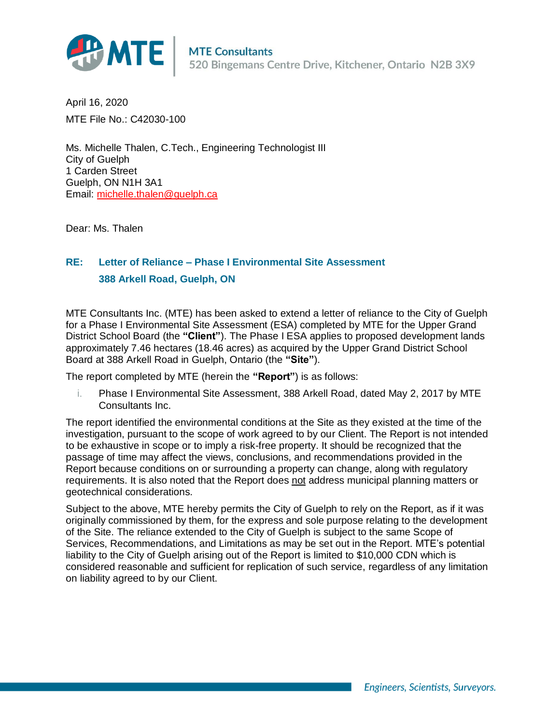

April 16, 2020 MTE File No.: C42030-100

Ms. Michelle Thalen, C.Tech., Engineering Technologist III City of Guelph 1 Carden Street Guelph, ON N1H 3A1 Email: [michelle.thalen@guelph.ca](mailto:michelle.thalen@guelph.ca)

Dear: Ms. Thalen

## **RE: Letter of Reliance – Phase I Environmental Site Assessment 388 Arkell Road, Guelph, ON**

MTE Consultants Inc. (MTE) has been asked to extend a letter of reliance to the City of Guelph for a Phase I Environmental Site Assessment (ESA) completed by MTE for the Upper Grand District School Board (the **"Client"**). The Phase I ESA applies to proposed development lands approximately 7.46 hectares (18.46 acres) as acquired by the Upper Grand District School Board at 388 Arkell Road in Guelph, Ontario (the **"Site"**).

The report completed by MTE (herein the **"Report"**) is as follows:

i. Phase I Environmental Site Assessment, 388 Arkell Road, dated May 2, 2017 by MTE Consultants Inc.

The report identified the environmental conditions at the Site as they existed at the time of the investigation, pursuant to the scope of work agreed to by our Client. The Report is not intended to be exhaustive in scope or to imply a risk-free property. It should be recognized that the passage of time may affect the views, conclusions, and recommendations provided in the Report because conditions on or surrounding a property can change, along with regulatory requirements. It is also noted that the Report does not address municipal planning matters or geotechnical considerations.

Subject to the above, MTE hereby permits the City of Guelph to rely on the Report, as if it was originally commissioned by them, for the express and sole purpose relating to the development of the Site. The reliance extended to the City of Guelph is subject to the same Scope of Services, Recommendations, and Limitations as may be set out in the Report. MTE's potential liability to the City of Guelph arising out of the Report is limited to \$10,000 CDN which is considered reasonable and sufficient for replication of such service, regardless of any limitation on liability agreed to by our Client.